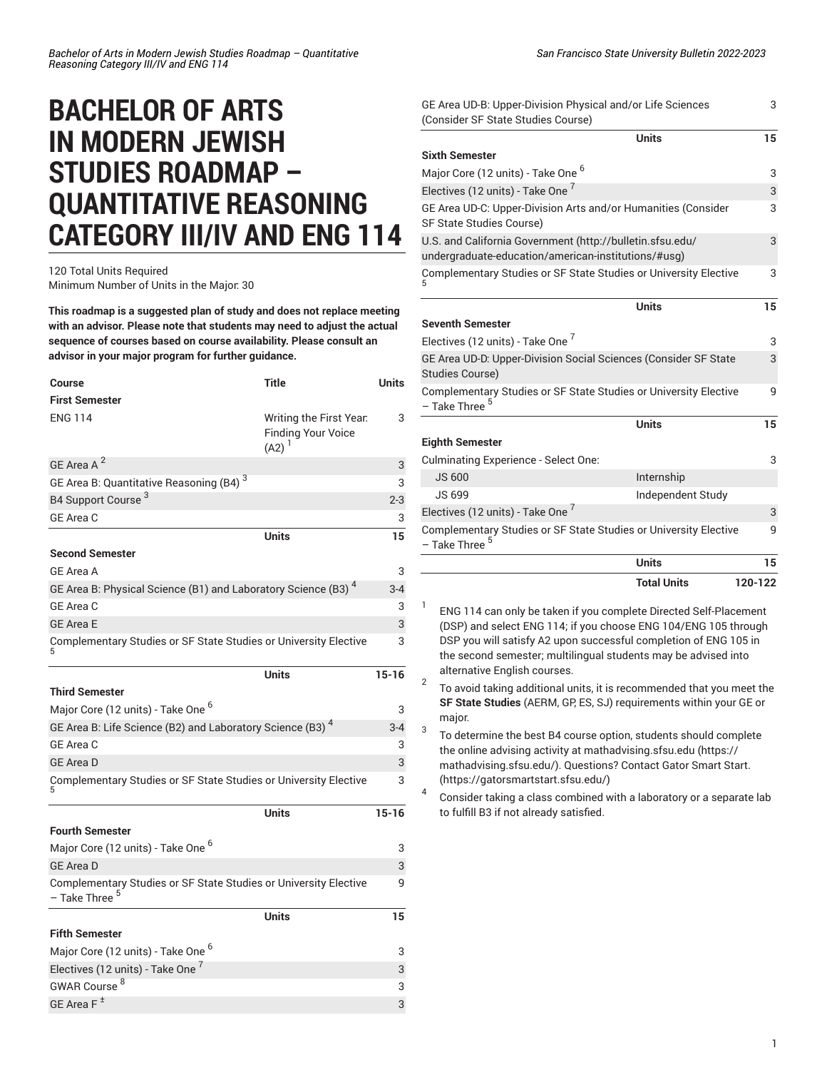## **BACHELOR OF ARTS IN MODERN JEWISH STUDIES ROADMAP – QUANTITATIVE REASONING CATEGORY III/IV AND ENG 114**

120 Total Units Required Minimum Number of Units in the Major: 30

**This roadmap is a suggested plan of study and does not replace meeting with an advisor. Please note that students may need to adjust the actual sequence of courses based on course availability. Please consult an advisor in your major program for further guidance.**

| Course                                                                                        | <b>Title</b>                                                     | <b>Units</b> |
|-----------------------------------------------------------------------------------------------|------------------------------------------------------------------|--------------|
| <b>First Semester</b>                                                                         |                                                                  |              |
| <b>ENG 114</b>                                                                                | Writing the First Year.<br><b>Finding Your Voice</b><br>$(A2)^1$ | 3            |
| GE Area A <sup>2</sup>                                                                        |                                                                  | 3            |
| GE Area B: Quantitative Reasoning (B4) <sup>3</sup>                                           |                                                                  | 3            |
| B4 Support Course <sup>3</sup>                                                                |                                                                  | $2 - 3$      |
| GE Area C                                                                                     |                                                                  | 3            |
|                                                                                               | Units                                                            | 15           |
| <b>Second Semester</b>                                                                        |                                                                  |              |
| <b>GE Area A</b>                                                                              |                                                                  | 3            |
| GE Area B: Physical Science (B1) and Laboratory Science (B3) <sup>4</sup>                     |                                                                  | $3 - 4$      |
| GE Area C                                                                                     |                                                                  | 3            |
| <b>GE Area E</b>                                                                              |                                                                  | 3            |
| Complementary Studies or SF State Studies or University Elective                              |                                                                  | 3            |
|                                                                                               | <b>Units</b>                                                     | $15 - 16$    |
| <b>Third Semester</b>                                                                         |                                                                  |              |
| Major Core (12 units) - Take One <sup>6</sup>                                                 |                                                                  | 3            |
| GE Area B: Life Science (B2) and Laboratory Science (B3) <sup>4</sup>                         |                                                                  | $3 - 4$      |
| GE Area C                                                                                     |                                                                  | 3            |
| <b>GE Area D</b>                                                                              |                                                                  | 3            |
| Complementary Studies or SF State Studies or University Elective                              |                                                                  | 3            |
|                                                                                               | <b>Units</b>                                                     | $15 - 16$    |
| <b>Fourth Semester</b>                                                                        |                                                                  |              |
| Major Core (12 units) - Take One <sup>6</sup>                                                 |                                                                  | 3            |
| <b>GE Area D</b>                                                                              |                                                                  | 3            |
| Complementary Studies or SF State Studies or University Elective<br>- Take Three <sup>5</sup> |                                                                  | 9            |
|                                                                                               | <b>Units</b>                                                     | 15           |
| <b>Fifth Semester</b>                                                                         |                                                                  |              |
| Major Core (12 units) - Take One <sup>6</sup>                                                 |                                                                  | 3            |
| Electives (12 units) - Take One <sup>1</sup>                                                  |                                                                  | 3            |
| GWAR Course <sup>8</sup>                                                                      |                                                                  | 3            |
| GE Area F <sup>±</sup>                                                                        |                                                                  | 3            |

| GE Area UD-B: Upper-Division Physical and/or Life Sciences<br>(Consider SF State Studies Course)                 |                    | 3       |
|------------------------------------------------------------------------------------------------------------------|--------------------|---------|
|                                                                                                                  | <b>Units</b>       | 15      |
| <b>Sixth Semester</b>                                                                                            |                    |         |
| Major Core (12 units) - Take One <sup>6</sup>                                                                    |                    | 3       |
| Electives (12 units) - Take One '                                                                                |                    | 3       |
| GE Area UD-C: Upper-Division Arts and/or Humanities (Consider<br>SF State Studies Course)                        |                    | 3       |
| U.S. and California Government (http://bulletin.sfsu.edu/<br>undergraduate-education/american-institutions/#usg) |                    | 3       |
| Complementary Studies or SF State Studies or University Elective                                                 |                    | 3       |
|                                                                                                                  | <b>Units</b>       | 15      |
| <b>Seventh Semester</b>                                                                                          |                    |         |
| Electives (12 units) - Take One 7                                                                                |                    | 3       |
| GE Area UD-D. Upper-Division Social Sciences (Consider SF State<br>Studies Course)                               |                    | 3       |
| Complementary Studies or SF State Studies or University Elective<br>- Take Three <sup>5</sup>                    |                    | 9       |
|                                                                                                                  | <b>Units</b>       | 15      |
| <b>Eighth Semester</b>                                                                                           |                    |         |
| Culminating Experience - Select One:                                                                             |                    | 3       |
| <b>JS 600</b>                                                                                                    | Internship         |         |
| <b>JS 699</b>                                                                                                    | Independent Study  |         |
| Electives (12 units) - Take One <sup>7</sup>                                                                     |                    | 3       |
| Complementary Studies or SF State Studies or University Elective<br>- Take Three <sup>5</sup>                    |                    | 9       |
|                                                                                                                  | <b>Units</b>       | 15      |
|                                                                                                                  | <b>Total Units</b> | 120-122 |

1 ENG 114 can only be taken if you complete Directed Self-Placement (DSP) and select ENG 114; if you choose ENG 104/ENG 105 through DSP you will satisfy A2 upon successful completion of ENG 105 in the second semester; multilingual students may be advised into alternative English courses.

2 To avoid taking additional units, it is recommended that you meet the **SF State Studies** (AERM, GP, ES, SJ) requirements within your GE or major.

3 To determine the best B4 course option, students should complete the online advising activity at [mathadvising.sfsu.edu \(https://](https://mathadvising.sfsu.edu/) [mathadvising.sfsu.edu/](https://mathadvising.sfsu.edu/)). Questions? Contact Gator [Smart](https://gatorsmartstart.sfsu.edu/) Start. [\(https://gatorsmartstart.sfsu.edu/](https://gatorsmartstart.sfsu.edu/))

4 Consider taking a class combined with a laboratory or a separate lab to fulfill B3 if not already satisfied.